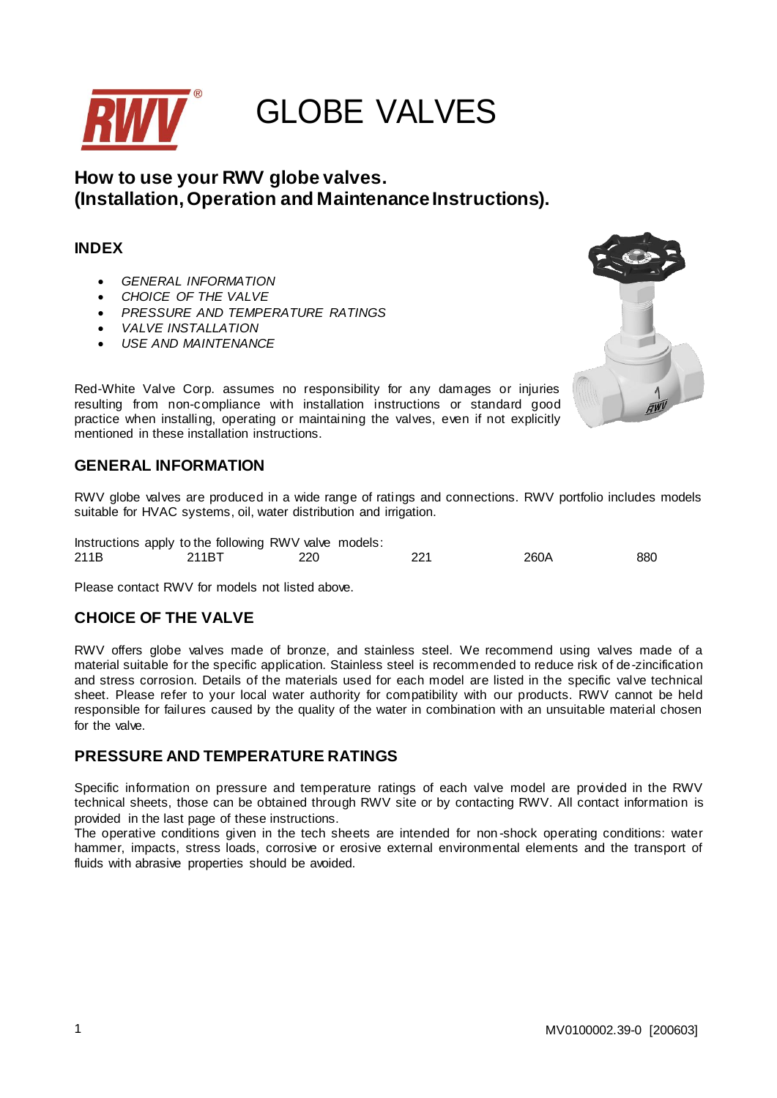

# **How to use your RWV globe valves. (Installation, Operation and Maintenance Instructions).**

# **INDEX**

- *GENERAL INFORMATION*
- *CHOICE OF THE VALVE*
- *PRESSURE AND TEMPERATURE RATINGS*
- *VALVE INSTALLATION*
- *USE AND MAINTENANCE*



Red-White Valve Corp. assumes no responsibility for any damages or injuries resulting from non-compliance with installation instructions or standard good practice when installing, operating or maintaining the valves, even if not explicitly mentioned in these installation instructions.

# **GENERAL INFORMATION**

RWV globe valves are produced in a wide range of ratings and connections. RWV portfolio includes models suitable for HVAC systems, oil, water distribution and irrigation.

|      | Instructions apply to the following RWV valve models: |     |     |      |     |
|------|-------------------------------------------------------|-----|-----|------|-----|
| 211B | 211BT                                                 | 220 | 221 | 260A | 880 |

Please contact RWV for models not listed above.

## **CHOICE OF THE VALVE**

RWV offers globe valves made of bronze, and stainless steel. We recommend using valves made of a material suitable for the specific application. Stainless steel is recommended to reduce risk of de-zincification and stress corrosion. Details of the materials used for each model are listed in the specific valve technical sheet. Please refer to your local water authority for compatibility with our products. RWV cannot be held responsible for failures caused by the quality of the water in combination with an unsuitable material chosen for the valve.

# **PRESSURE AND TEMPERATURE RATINGS**

Specific information on pressure and temperature ratings of each valve model are provided in the RWV technical sheets, those can be obtained through RWV site or by contacting RWV. All contact information is provided in the last page of these instructions.

The operative conditions given in the tech sheets are intended for non -shock operating conditions: water hammer, impacts, stress loads, corrosive or erosive external environmental elements and the transport of fluids with abrasive properties should be avoided.